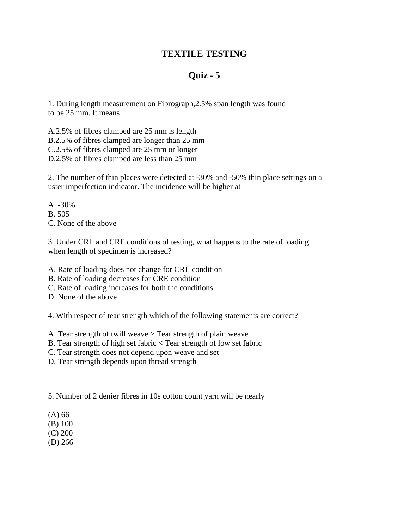## **TEXTILE TESTING**

## **Quiz - 5**

1. During length measurement on Fibrograph,2.5% span length was found to be 25 mm. It means

A.2.5% of fibres clamped are 25 mm is length B.2.5% of fibres clamped are longer than 25 mm C.2.5% of fibres clamped are 25 mm or longer D.2.5% of fibres clamped are less than 25 mm

2. The number of thin places were detected at -30% and -50% thin place settings on a uster imperfection indicator. The incidence will be higher at

A. -30% B. 505 C. None of the above

3. Under CRL and CRE conditions of testing, what happens to the rate of loading when length of specimen is increased?

- A. Rate of loading does not change for CRL condition
- B. Rate of loading decreases for CRE condition
- C. Rate of loading increases for both the conditions
- D. None of the above

4. With respect of tear strength which of the following statements are correct?

A. Tear strength of twill weave > Tear strength of plain weave

- B. Tear strength of high set fabric < Tear strength of low set fabric
- C. Tear strength does not depend upon weave and set
- D. Tear strength depends upon thread strength

5. Number of 2 denier fibres in 10s cotton count yarn will be nearly

- (A) 66
- (B) 100
- (C) 200
- (D) 266